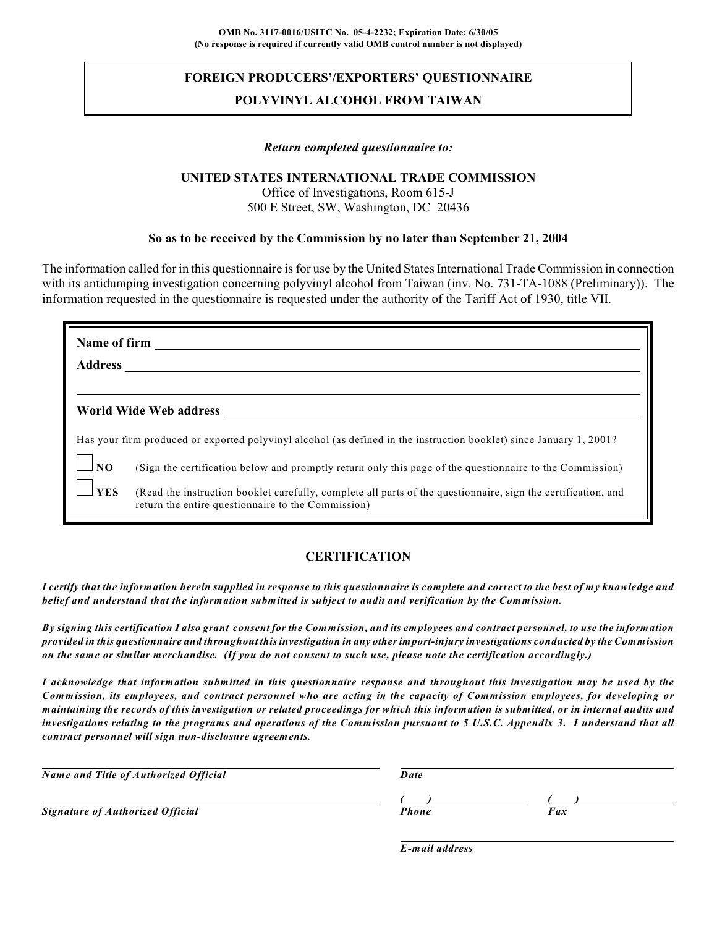# **FOREIGN PRODUCERS'/EXPORTERS' QUESTIONNAIRE POLYVINYL ALCOHOL FROM TAIWAN**

#### *Return completed questionnaire to:*

#### **UNITED STATES INTERNATIONAL TRADE COMMISSION**

Office of Investigations, Room 615-J 500 E Street, SW, Washington, DC 20436

#### **So as to be received by the Commission by no later than September 21, 2004**

The information called for in this questionnaire is for use by the United States International Trade Commission in connection with its antidumping investigation concerning polyvinyl alcohol from Taiwan (inv. No. 731-TA-1088 (Preliminary)). The information requested in the questionnaire is requested under the authority of the Tariff Act of 1930, title VII.

| Name of firm      |                                                                                                                                                                     |
|-------------------|---------------------------------------------------------------------------------------------------------------------------------------------------------------------|
| <b>Address</b>    |                                                                                                                                                                     |
|                   |                                                                                                                                                                     |
|                   | World Wide Web address                                                                                                                                              |
|                   | Has your firm produced or exported polyvinyl alcohol (as defined in the instruction booklet) since January 1, 2001?                                                 |
| $\blacksquare$ NO | (Sign the certification below and promptly return only this page of the questionnaire to the Commission)                                                            |
| <b>YES</b>        | (Read the instruction booklet carefully, complete all parts of the questionnaire, sign the certification, and<br>return the entire questionnaire to the Commission) |

# **CERTIFICATION**

*I certify that the information herein supplied in response to this questionnaire is complete and correct to the best of my knowledge and belief and understand that the information submitted is subject to audit and verification by the Commission.*

*By signing this certification I also grant consent for the Commission, and its employees and contract personnel, to use the information provided in this questionnaire and throughout this investigation in any other import-injury investigations conducted by the Commission on the same or similar merchandise. (If you do not consent to such use, please note the certification accordingly.)*

*I acknowledge that information submitted in this questionnaire response and throughout this investigation may be used by the* Commission, its employees, and contract personnel who are acting in the capacity of Commission employees, for developing or *maintaining the records of this investigation or related proceedings for which this information is submitted, or in internal audits and investigations relating to the programs and operations of the Commission pursuant to 5 U.S.C. Appendix 3. I understand that all contract personnel will sign non-disclosure agreements.*

| Name and Title of Authorized Official   | Date  |     |
|-----------------------------------------|-------|-----|
| <b>Signature of Authorized Official</b> | Phone | Fax |
|                                         |       |     |

*E-mail address*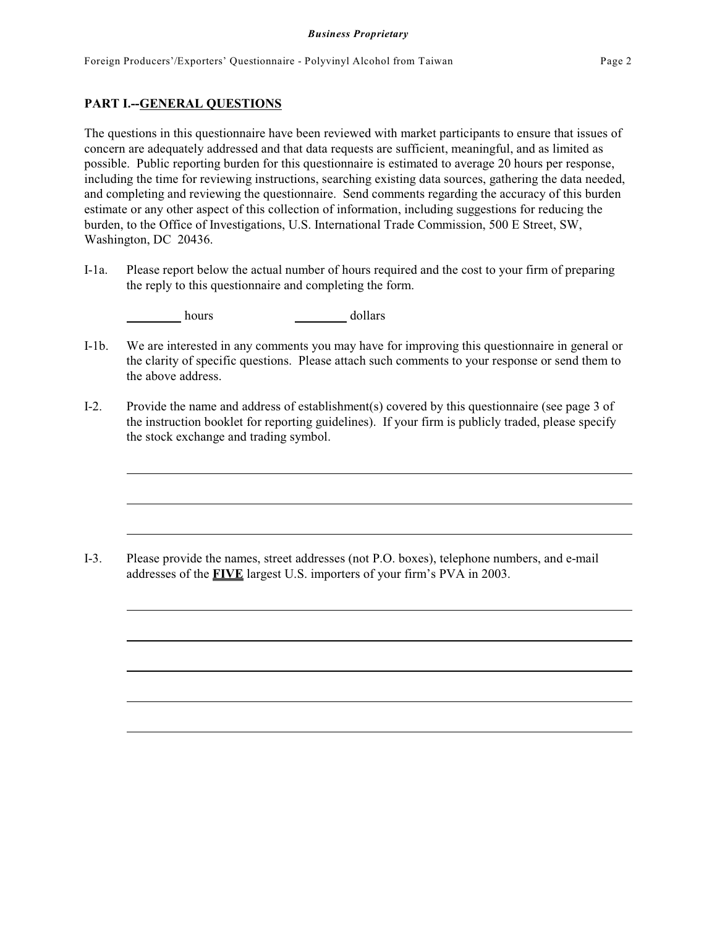#### **PART I.--GENERAL QUESTIONS**

The questions in this questionnaire have been reviewed with market participants to ensure that issues of concern are adequately addressed and that data requests are sufficient, meaningful, and as limited as possible. Public reporting burden for this questionnaire is estimated to average 20 hours per response, including the time for reviewing instructions, searching existing data sources, gathering the data needed, and completing and reviewing the questionnaire. Send comments regarding the accuracy of this burden estimate or any other aspect of this collection of information, including suggestions for reducing the burden, to the Office of Investigations, U.S. International Trade Commission, 500 E Street, SW, Washington, DC 20436.

I-1a. Please report below the actual number of hours required and the cost to your firm of preparing the reply to this questionnaire and completing the form.

hours dollars

- I-1b. We are interested in any comments you may have for improving this questionnaire in general or the clarity of specific questions. Please attach such comments to your response or send them to the above address.
- I-2. Provide the name and address of establishment(s) covered by this questionnaire (see page 3 of the instruction booklet for reporting guidelines). If your firm is publicly traded, please specify the stock exchange and trading symbol.

I-3. Please provide the names, street addresses (not P.O. boxes), telephone numbers, and e-mail addresses of the **FIVE** largest U.S. importers of your firm's PVA in 2003.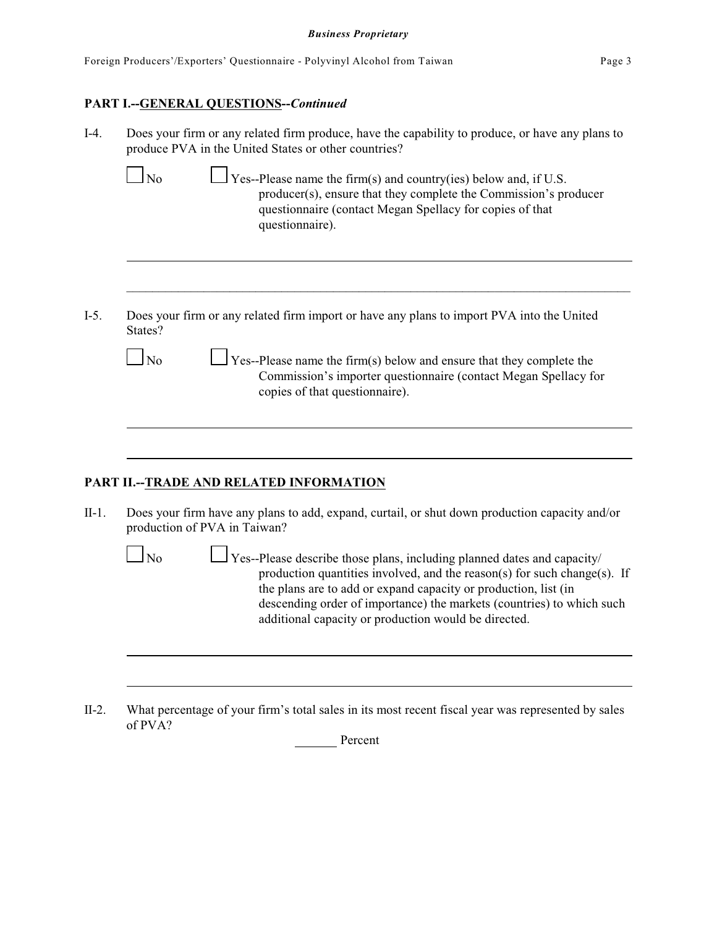| Foreign Producers'/Exporters' Questionnaire - Polyvinyl Alcohol from Taiwan | Page 3 |
|-----------------------------------------------------------------------------|--------|
|-----------------------------------------------------------------------------|--------|

## **PART I.--GENERAL QUESTIONS--***Continued*

| I-4. | Does your firm or any related firm produce, have the capability to produce, or have any plans to |
|------|--------------------------------------------------------------------------------------------------|
|      | produce PVA in the United States or other countries?                                             |

| N <sub>0</sub> | $\Box$ Yes--Please name the firm(s) and country(ies) below and, if U.S. |
|----------------|-------------------------------------------------------------------------|
|                | producer(s), ensure that they complete the Commission's producer        |
|                | questionnaire (contact Megan Spellacy for copies of that                |
|                | questionnaire).                                                         |

I-5. Does your firm or any related firm import or have any plans to import PVA into the United States?

| N <sub>0</sub> | $\Box$ Yes--Please name the firm(s) below and ensure that they complete the |
|----------------|-----------------------------------------------------------------------------|
|                | Commission's importer questionnaire (contact Megan Spellacy for             |
|                | copies of that questionnaire).                                              |

\_\_\_\_\_\_\_\_\_\_\_\_\_\_\_\_\_\_\_\_\_\_\_\_\_\_\_\_\_\_\_\_\_\_\_\_\_\_\_\_\_\_\_\_\_\_\_\_\_\_\_\_\_\_\_\_\_\_\_\_\_\_\_\_\_\_\_\_\_\_\_\_\_\_\_\_\_\_

# **PART II.--TRADE AND RELATED INFORMATION**

II-1. Does your firm have any plans to add, expand, curtail, or shut down production capacity and/or production of PVA in Taiwan?

| $\Box$ No | $\Box$ Yes--Please describe those plans, including planned dates and capacity/ |
|-----------|--------------------------------------------------------------------------------|
|           |                                                                                |
|           | production quantities involved, and the reason(s) for such change(s). If       |
|           | the plans are to add or expand capacity or production, list (in                |
|           | descending order of importance) the markets (countries) to which such          |
|           | additional capacity or production would be directed.                           |
|           |                                                                                |
|           |                                                                                |

II-2. What percentage of your firm's total sales in its most recent fiscal year was represented by sales of PVA?

Percent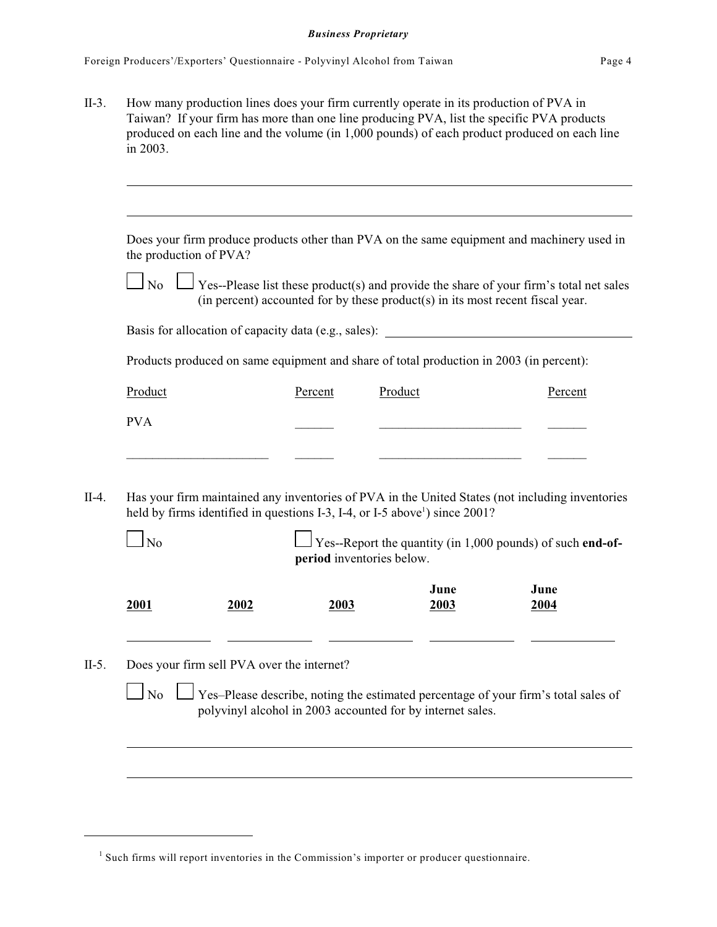II-3. How many production lines does your firm currently operate in its production of PVA in Taiwan? If your firm has more than one line producing PVA, list the specific PVA products produced on each line and the volume (in 1,000 pounds) of each product produced on each line in 2003.

|            |                                            |         |                                                                                                                                                                                                                                                                        | (in percent) accounted for by these product(s) in its most recent fiscal year. |
|------------|--------------------------------------------|---------|------------------------------------------------------------------------------------------------------------------------------------------------------------------------------------------------------------------------------------------------------------------------|--------------------------------------------------------------------------------|
|            |                                            |         | Basis for allocation of capacity data (e.g., sales): ____________________________                                                                                                                                                                                      |                                                                                |
|            |                                            |         | Products produced on same equipment and share of total production in 2003 (in percent):                                                                                                                                                                                |                                                                                |
| Product    |                                            | Percent | Product                                                                                                                                                                                                                                                                | Percent                                                                        |
| <b>PVA</b> |                                            |         |                                                                                                                                                                                                                                                                        |                                                                                |
|            |                                            |         |                                                                                                                                                                                                                                                                        |                                                                                |
| $\log$     |                                            |         | Has your firm maintained any inventories of PVA in the United States (not including inventories<br>held by firms identified in questions I-3, I-4, or I-5 above <sup>1</sup> ) since 2001?<br>$\frac{1}{2}$ Yes--Report the quantity (in 1,000 pounds) of such end-of- |                                                                                |
|            |                                            |         | period inventories below.                                                                                                                                                                                                                                              |                                                                                |
| 2001       | 2002                                       | 2003    | June<br>2003                                                                                                                                                                                                                                                           | June<br>2004                                                                   |
|            | Does your firm sell PVA over the internet? |         |                                                                                                                                                                                                                                                                        |                                                                                |

 $<sup>1</sup>$  Such firms will report inventories in the Commission's importer or producer questionnaire.</sup>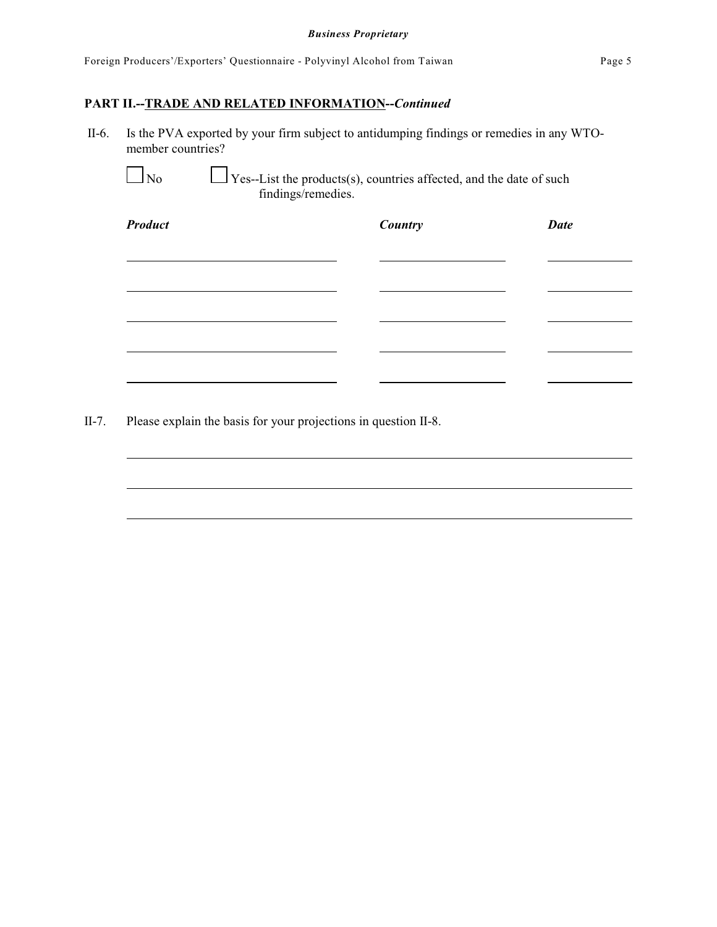# **PART II.--TRADE AND RELATED INFORMATION--***Continued*

 II-6. Is the PVA exported by your firm subject to antidumping findings or remedies in any WTOmember countries?

 $\Box$  No  $\Box$  Yes--List the products(s), countries affected, and the date of such findings/remedies.

| <b>Product</b> | <b>Country</b> | <b>Date</b> |
|----------------|----------------|-------------|
|                |                |             |
|                |                |             |
|                |                |             |
|                |                |             |
|                |                |             |
|                |                |             |

II-7. Please explain the basis for your projections in question II-8.